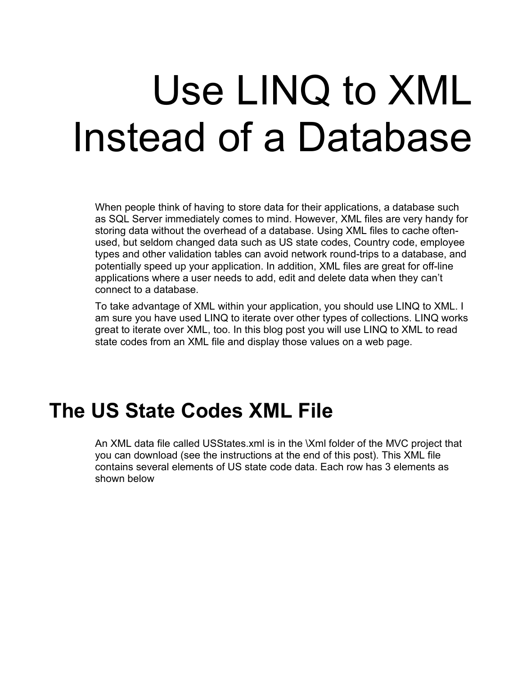# Use LINQ to XML Instead of a Database

When people think of having to store data for their applications, a database such as SQL Server immediately comes to mind. However, XML files are very handy for storing data without the overhead of a database. Using XML files to cache oftenused, but seldom changed data such as US state codes, Country code, employee types and other validation tables can avoid network round-trips to a database, and potentially speed up your application. In addition, XML files are great for off-line applications where a user needs to add, edit and delete data when they can't connect to a database.

To take advantage of XML within your application, you should use LINQ to XML. I am sure you have used LINQ to iterate over other types of collections. LINQ works great to iterate over XML, too. In this blog post you will use LINQ to XML to read state codes from an XML file and display those values on a web page.

#### **The US State Codes XML File**

An XML data file called USStates.xml is in the \Xml folder of the MVC project that you can download (see the instructions at the end of this post). This XML file contains several elements of US state code data. Each row has 3 elements as shown below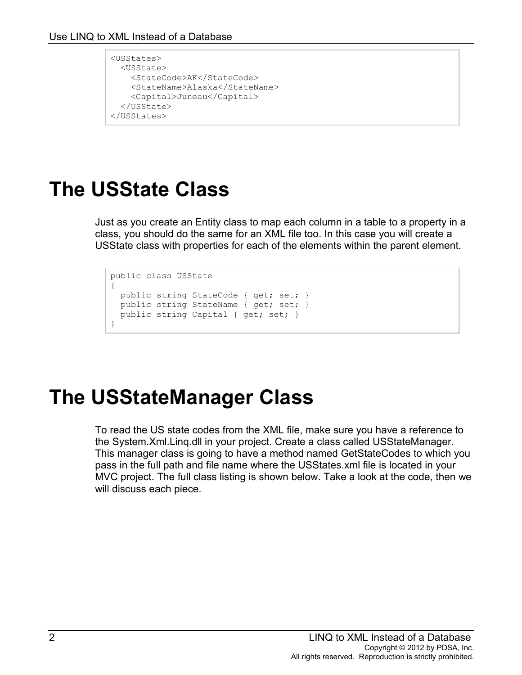```
<USStates>
   <USState>
     <StateCode>AK</StateCode>
     <StateName>Alaska</StateName>
     <Capital>Juneau</Capital>
  </USState>
</USStates>
```
## **The USState Class**

Just as you create an Entity class to map each column in a table to a property in a class, you should do the same for an XML file too. In this case you will create a USState class with properties for each of the elements within the parent element.

```
public class USState
{
 public string StateCode { get; set; }
 public string StateName { get; set; }
 public string Capital { get; set; }
}
```
### **The USStateManager Class**

To read the US state codes from the XML file, make sure you have a reference to the System.Xml.Linq.dll in your project. Create a class called USStateManager. This manager class is going to have a method named GetStateCodes to which you pass in the full path and file name where the USStates.xml file is located in your MVC project. The full class listing is shown below. Take a look at the code, then we will discuss each piece.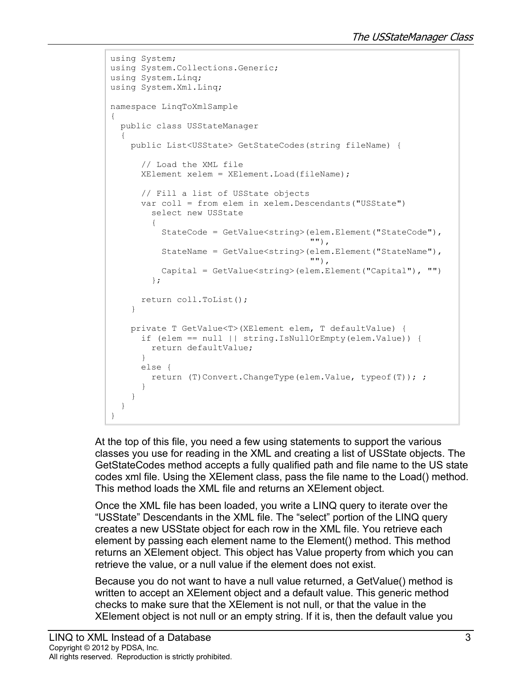```
using System;
using System.Collections.Generic;
using System.Linq;
using System.Xml.Linq;
namespace LinqToXmlSample
{
  public class USStateManager
\{ public List<USState> GetStateCodes(string fileName) {
      // Load the XML file
      XElement xelem = XElement.Load(fileName);
      // Fill a list of USState objects
      var coll = from elem in xelem.Descendants("USState")
        select new USState
\{ StateCode = GetValue<string>(elem.Element("StateCode"),
\mathbf{m}),
          StateName = GetValue<string>(elem.Element("StateName"),
\mathbf{u}"),
          Capital = GetValue<string>(elem.Element("Capital"), "")
        };
      return coll.ToList();
     }
    private T GetValue<T>(XElement elem, T defaultValue) {
      if (elem == null || string.IsNullOrEmpty(elem.Value)) {
        return defaultValue;
      }
      else {
        return (T)Convert.ChangeType(elem.Value, typeof(T)); ;
      }
     }
   }
}
```
At the top of this file, you need a few using statements to support the various classes you use for reading in the XML and creating a list of USState objects. The GetStateCodes method accepts a fully qualified path and file name to the US state codes xml file. Using the XElement class, pass the file name to the Load() method. This method loads the XML file and returns an XElement object.

Once the XML file has been loaded, you write a LINQ query to iterate over the "USState" Descendants in the XML file. The "select" portion of the LINQ query creates a new USState object for each row in the XML file. You retrieve each element by passing each element name to the Element() method. This method returns an XElement object. This object has Value property from which you can retrieve the value, or a null value if the element does not exist.

Because you do not want to have a null value returned, a GetValue() method is written to accept an XElement object and a default value. This generic method checks to make sure that the XElement is not null, or that the value in the XElement object is not null or an empty string. If it is, then the default value you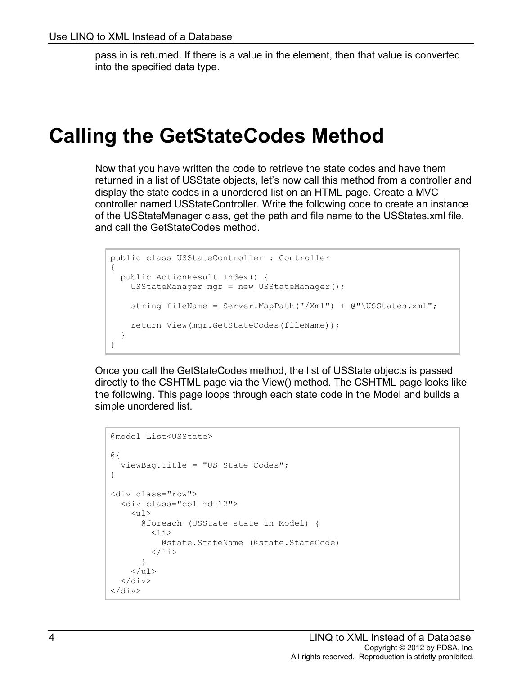pass in is returned. If there is a value in the element, then that value is converted into the specified data type.

#### **Calling the GetStateCodes Method**

Now that you have written the code to retrieve the state codes and have them returned in a list of USState objects, let's now call this method from a controller and display the state codes in a unordered list on an HTML page. Create a MVC controller named USStateController. Write the following code to create an instance of the USStateManager class, get the path and file name to the USStates.xml file, and call the GetStateCodes method.

```
public class USStateController : Controller
{
  public ActionResult Index() {
     USStateManager mgr = new USStateManager();
     string fileName = Server.MapPath("/Xml") + @"\USStates.xml";
    return View(mgr.GetStateCodes(fileName));
  }
}
```
Once you call the GetStateCodes method, the list of USState objects is passed directly to the CSHTML page via the View() method. The CSHTML page looks like the following. This page loops through each state code in the Model and builds a simple unordered list.

```
@model List<USState>
@{
   ViewBag.Title = "US State Codes";
}
<div class="row">
   <div class="col-md-12">
     \langle 111 \rangle @foreach (USState state in Model) {
          \langleli>
             @state.StateName (@state.StateCode)
          \langle/li> }
     \langle/ul\rangle\langle/div\rangle</div>
```